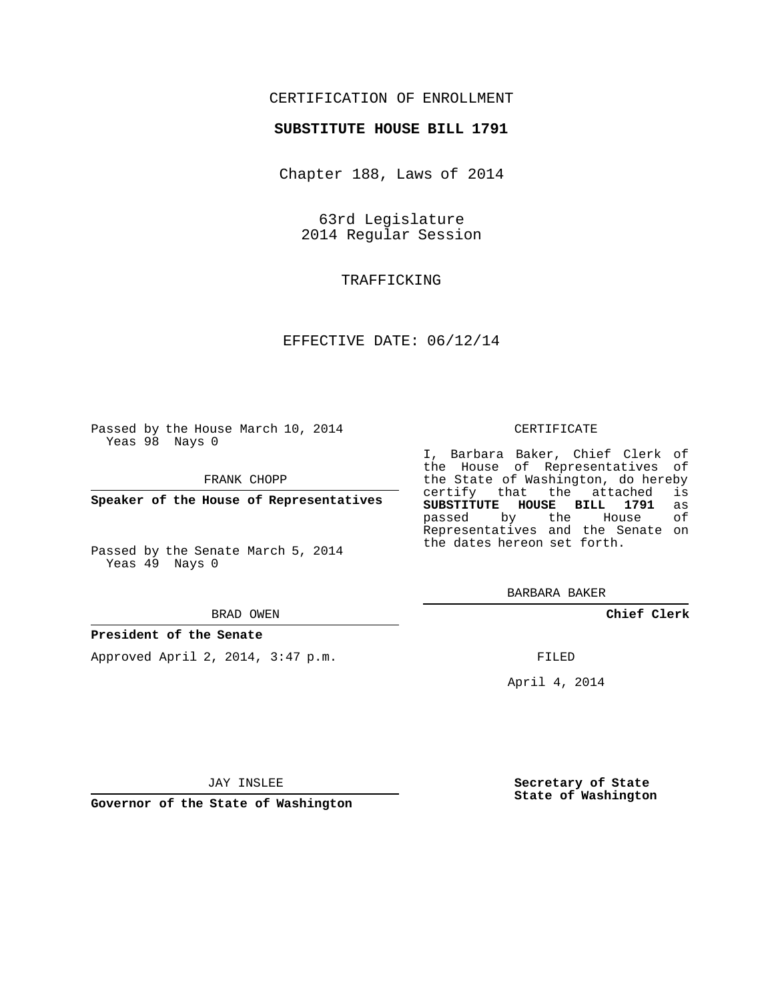# CERTIFICATION OF ENROLLMENT

## **SUBSTITUTE HOUSE BILL 1791**

Chapter 188, Laws of 2014

63rd Legislature 2014 Regular Session

TRAFFICKING

## EFFECTIVE DATE: 06/12/14

Passed by the House March 10, 2014 Yeas 98 Nays 0

FRANK CHOPP

**Speaker of the House of Representatives**

Passed by the Senate March 5, 2014 Yeas 49 Nays 0

#### BRAD OWEN

### **President of the Senate**

Approved April 2, 2014, 3:47 p.m.

#### CERTIFICATE

I, Barbara Baker, Chief Clerk of the House of Representatives of the State of Washington, do hereby<br>certify that the attached is certify that the attached **SUBSTITUTE HOUSE BILL 1791** as passed by the Representatives and the Senate on the dates hereon set forth.

BARBARA BAKER

**Chief Clerk**

FILED

April 4, 2014

JAY INSLEE

**Governor of the State of Washington**

**Secretary of State State of Washington**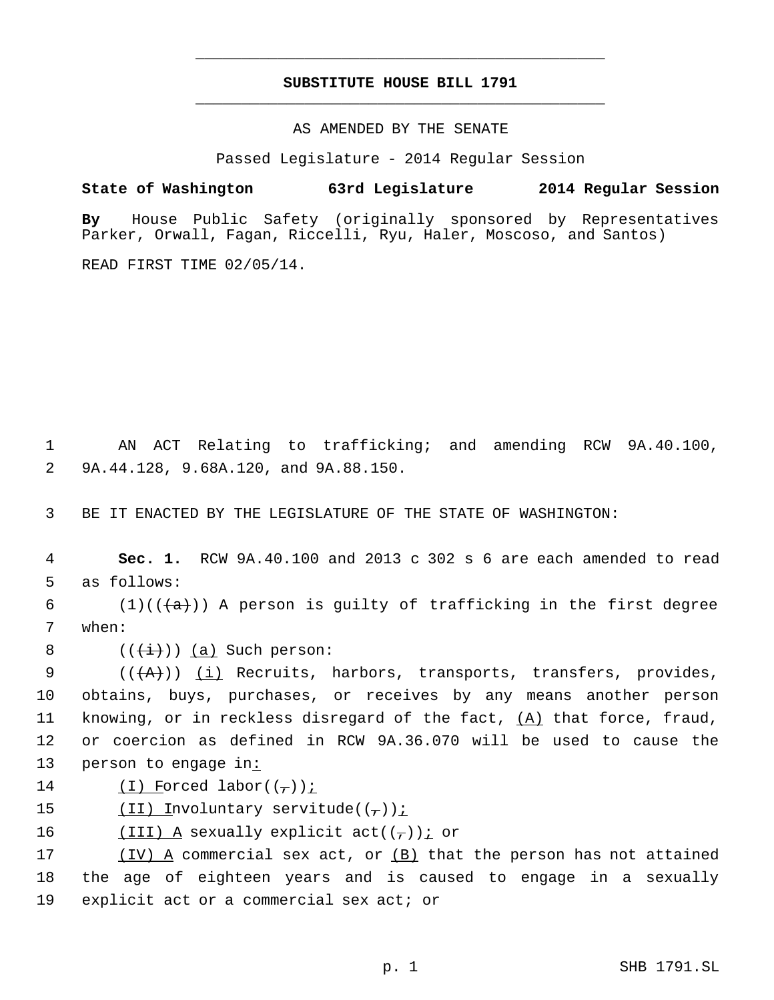# **SUBSTITUTE HOUSE BILL 1791** \_\_\_\_\_\_\_\_\_\_\_\_\_\_\_\_\_\_\_\_\_\_\_\_\_\_\_\_\_\_\_\_\_\_\_\_\_\_\_\_\_\_\_\_\_

\_\_\_\_\_\_\_\_\_\_\_\_\_\_\_\_\_\_\_\_\_\_\_\_\_\_\_\_\_\_\_\_\_\_\_\_\_\_\_\_\_\_\_\_\_

AS AMENDED BY THE SENATE

Passed Legislature - 2014 Regular Session

**State of Washington 63rd Legislature 2014 Regular Session**

**By** House Public Safety (originally sponsored by Representatives Parker, Orwall, Fagan, Riccelli, Ryu, Haler, Moscoso, and Santos)

READ FIRST TIME 02/05/14.

 1 AN ACT Relating to trafficking; and amending RCW 9A.40.100, 2 9A.44.128, 9.68A.120, and 9A.88.150.

3 BE IT ENACTED BY THE LEGISLATURE OF THE STATE OF WASHINGTON:

 4 **Sec. 1.** RCW 9A.40.100 and 2013 c 302 s 6 are each amended to read 5 as follows:

6 (1)(( $\frac{1}{a}$ )) A person is guilty of trafficking in the first degree 7 when:

8  $((\overleftrightarrow{t}))(a)$  Such person:

9  $((+A))$   $(i)$  Recruits, harbors, transports, transfers, provides, 10 obtains, buys, purchases, or receives by any means another person 11 knowing, or in reckless disregard of the fact,  $(A)$  that force, fraud, 12 or coercion as defined in RCW 9A.36.070 will be used to cause the 13 person to engage in:

14  $(I)$  Forced labor $((-))$ ;

15  $(II)$  Involuntary servitude(( $\tau$ ))<u>;</u>

16  $(III)$  A sexually explicit act( $(\tau)$ ) *i* or

17  $(IV)$  A commercial sex act, or  $(B)$  that the person has not attained 18 the age of eighteen years and is caused to engage in a sexually 19 explicit act or a commercial sex act; or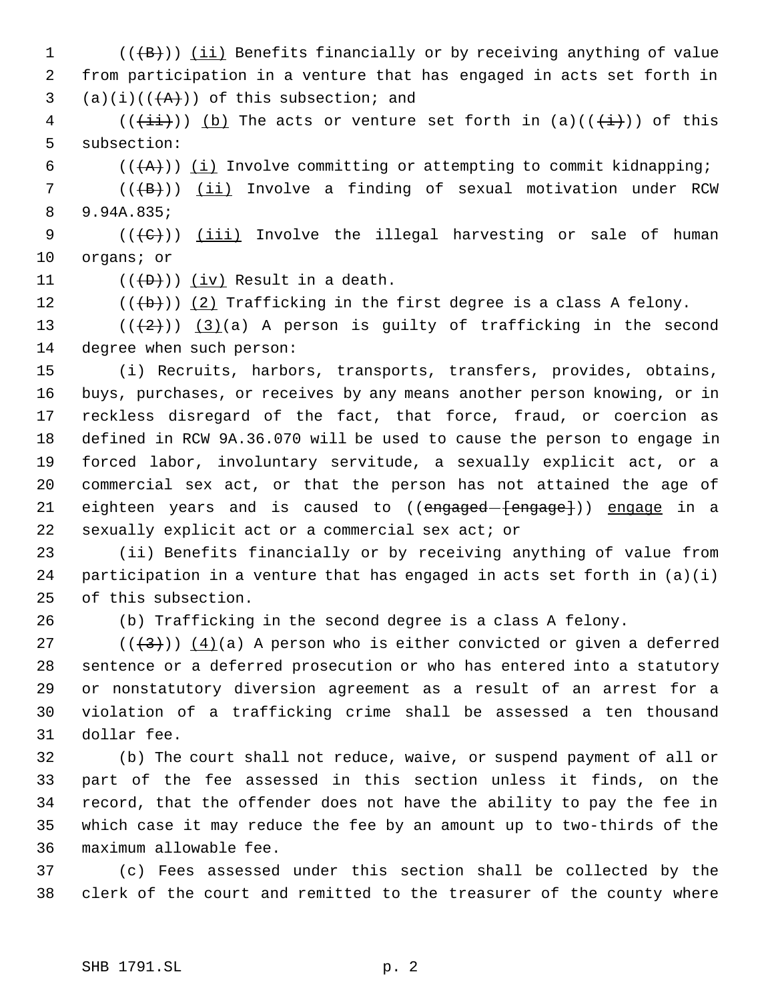1 (( $\langle$ <del>(B)</del>)) <u>(ii)</u> Benefits financially or by receiving anything of value from participation in a venture that has engaged in acts set forth in 3 (a)(i)( $(\overline{+A})$ ) of this subsection; and

4 (( $(i+i)$ )) (b) The acts or venture set forth in (a)(( $(i+)$ )) of this subsection:

6  $((+A))$   $(i)$  Involve committing or attempting to commit kidnapping;

7 (((+B))) (ii) Involve a finding of sexual motivation under RCW 9.94A.835;

 $((\{C\})$ ) <u>(iii)</u> Involve the illegal harvesting or sale of human organs; or

11  $((+D))$   $(iv)$  Result in a death.

12  $((\{b\})\)$  (2) Trafficking in the first degree is a class A felony.

13  $((+2))$   $(3)(a)$  A person is guilty of trafficking in the second degree when such person:

 (i) Recruits, harbors, transports, transfers, provides, obtains, buys, purchases, or receives by any means another person knowing, or in reckless disregard of the fact, that force, fraud, or coercion as defined in RCW 9A.36.070 will be used to cause the person to engage in forced labor, involuntary servitude, a sexually explicit act, or a commercial sex act, or that the person has not attained the age of 21 eighteen years and is caused to ((engaged-{engage})) engage in a sexually explicit act or a commercial sex act; or

 (ii) Benefits financially or by receiving anything of value from participation in a venture that has engaged in acts set forth in (a)(i) of this subsection.

(b) Trafficking in the second degree is a class A felony.

27 ( $(\langle 3 \rangle)$ )  $(4)(a)$  A person who is either convicted or given a deferred sentence or a deferred prosecution or who has entered into a statutory or nonstatutory diversion agreement as a result of an arrest for a violation of a trafficking crime shall be assessed a ten thousand dollar fee.

 (b) The court shall not reduce, waive, or suspend payment of all or part of the fee assessed in this section unless it finds, on the record, that the offender does not have the ability to pay the fee in which case it may reduce the fee by an amount up to two-thirds of the maximum allowable fee.

 (c) Fees assessed under this section shall be collected by the clerk of the court and remitted to the treasurer of the county where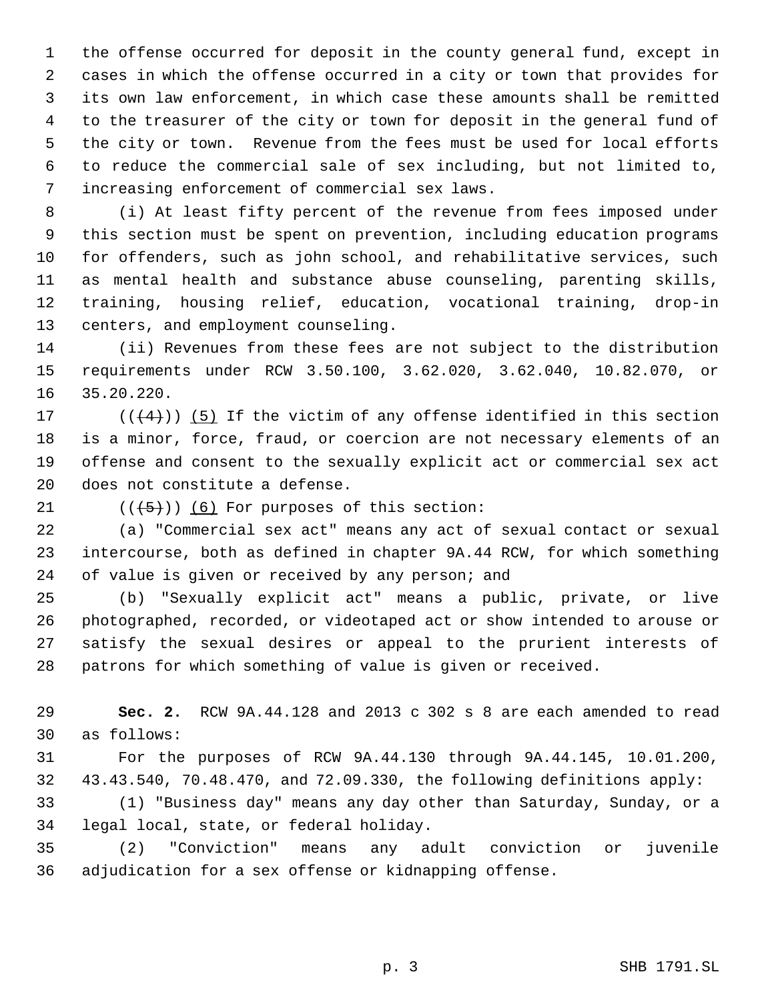the offense occurred for deposit in the county general fund, except in cases in which the offense occurred in a city or town that provides for its own law enforcement, in which case these amounts shall be remitted to the treasurer of the city or town for deposit in the general fund of the city or town. Revenue from the fees must be used for local efforts to reduce the commercial sale of sex including, but not limited to, increasing enforcement of commercial sex laws.

 (i) At least fifty percent of the revenue from fees imposed under this section must be spent on prevention, including education programs for offenders, such as john school, and rehabilitative services, such as mental health and substance abuse counseling, parenting skills, training, housing relief, education, vocational training, drop-in centers, and employment counseling.

 (ii) Revenues from these fees are not subject to the distribution requirements under RCW 3.50.100, 3.62.020, 3.62.040, 10.82.070, or 35.20.220.

 $((+4))$  (5) If the victim of any offense identified in this section is a minor, force, fraud, or coercion are not necessary elements of an offense and consent to the sexually explicit act or commercial sex act does not constitute a defense.

21  $((\overline{5}))$  (6) For purposes of this section:

 (a) "Commercial sex act" means any act of sexual contact or sexual intercourse, both as defined in chapter 9A.44 RCW, for which something 24 of value is given or received by any person; and

 (b) "Sexually explicit act" means a public, private, or live photographed, recorded, or videotaped act or show intended to arouse or satisfy the sexual desires or appeal to the prurient interests of patrons for which something of value is given or received.

 **Sec. 2.** RCW 9A.44.128 and 2013 c 302 s 8 are each amended to read as follows:

 For the purposes of RCW 9A.44.130 through 9A.44.145, 10.01.200, 43.43.540, 70.48.470, and 72.09.330, the following definitions apply:

 (1) "Business day" means any day other than Saturday, Sunday, or a legal local, state, or federal holiday.

 (2) "Conviction" means any adult conviction or juvenile adjudication for a sex offense or kidnapping offense.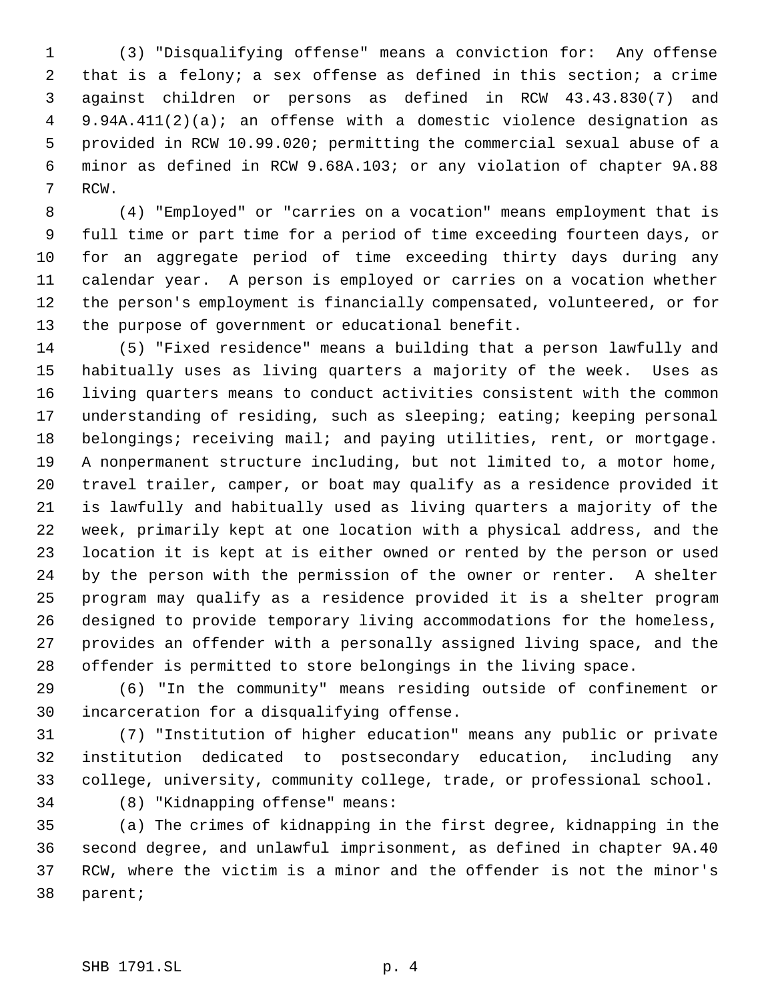(3) "Disqualifying offense" means a conviction for: Any offense that is a felony; a sex offense as defined in this section; a crime against children or persons as defined in RCW 43.43.830(7) and 9.94A.411(2)(a); an offense with a domestic violence designation as provided in RCW 10.99.020; permitting the commercial sexual abuse of a minor as defined in RCW 9.68A.103; or any violation of chapter 9A.88 RCW.

 (4) "Employed" or "carries on a vocation" means employment that is full time or part time for a period of time exceeding fourteen days, or for an aggregate period of time exceeding thirty days during any calendar year. A person is employed or carries on a vocation whether the person's employment is financially compensated, volunteered, or for the purpose of government or educational benefit.

 (5) "Fixed residence" means a building that a person lawfully and habitually uses as living quarters a majority of the week. Uses as living quarters means to conduct activities consistent with the common understanding of residing, such as sleeping; eating; keeping personal 18 belongings; receiving mail; and paying utilities, rent, or mortgage. A nonpermanent structure including, but not limited to, a motor home, travel trailer, camper, or boat may qualify as a residence provided it is lawfully and habitually used as living quarters a majority of the week, primarily kept at one location with a physical address, and the location it is kept at is either owned or rented by the person or used by the person with the permission of the owner or renter. A shelter program may qualify as a residence provided it is a shelter program designed to provide temporary living accommodations for the homeless, provides an offender with a personally assigned living space, and the offender is permitted to store belongings in the living space.

 (6) "In the community" means residing outside of confinement or incarceration for a disqualifying offense.

 (7) "Institution of higher education" means any public or private institution dedicated to postsecondary education, including any college, university, community college, trade, or professional school.

(8) "Kidnapping offense" means:

 (a) The crimes of kidnapping in the first degree, kidnapping in the second degree, and unlawful imprisonment, as defined in chapter 9A.40 RCW, where the victim is a minor and the offender is not the minor's parent;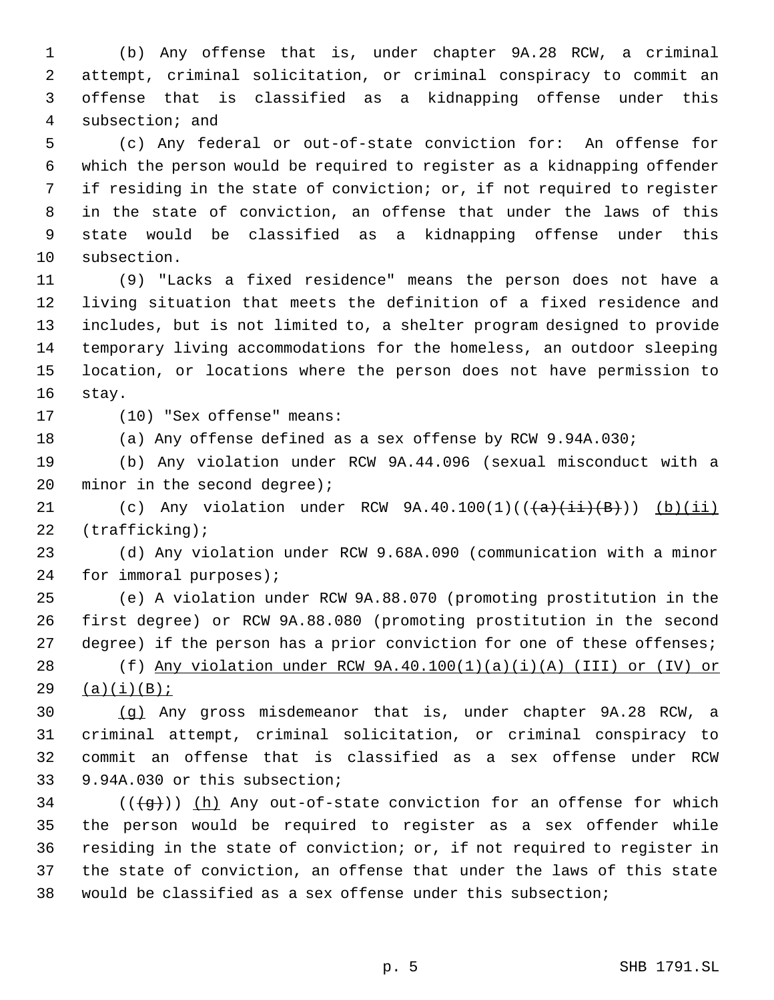(b) Any offense that is, under chapter 9A.28 RCW, a criminal attempt, criminal solicitation, or criminal conspiracy to commit an offense that is classified as a kidnapping offense under this subsection; and

 (c) Any federal or out-of-state conviction for: An offense for which the person would be required to register as a kidnapping offender if residing in the state of conviction; or, if not required to register in the state of conviction, an offense that under the laws of this state would be classified as a kidnapping offense under this subsection.

 (9) "Lacks a fixed residence" means the person does not have a living situation that meets the definition of a fixed residence and includes, but is not limited to, a shelter program designed to provide temporary living accommodations for the homeless, an outdoor sleeping location, or locations where the person does not have permission to stay.

(10) "Sex offense" means:

(a) Any offense defined as a sex offense by RCW 9.94A.030;

 (b) Any violation under RCW 9A.44.096 (sexual misconduct with a 20 minor in the second degree);

21 (c) Any violation under RCW  $9A.40.100(1)((\overline{a}(\overline{a}+\overline{b}))$  (b)(ii) (trafficking);

 (d) Any violation under RCW 9.68A.090 (communication with a minor for immoral purposes);

 (e) A violation under RCW 9A.88.070 (promoting prostitution in the first degree) or RCW 9A.88.080 (promoting prostitution in the second 27 degree) if the person has a prior conviction for one of these offenses; (f) Any violation under RCW 9A.40.100(1)(a)(i)(A) (III) or (IV) or

(a)(i)(B);

 (g) Any gross misdemeanor that is, under chapter 9A.28 RCW, a criminal attempt, criminal solicitation, or criminal conspiracy to commit an offense that is classified as a sex offense under RCW 9.94A.030 or this subsection;

 (( $\left(\frac{1}{9}\right)$ ) (h) Any out-of-state conviction for an offense for which the person would be required to register as a sex offender while residing in the state of conviction; or, if not required to register in the state of conviction, an offense that under the laws of this state would be classified as a sex offense under this subsection;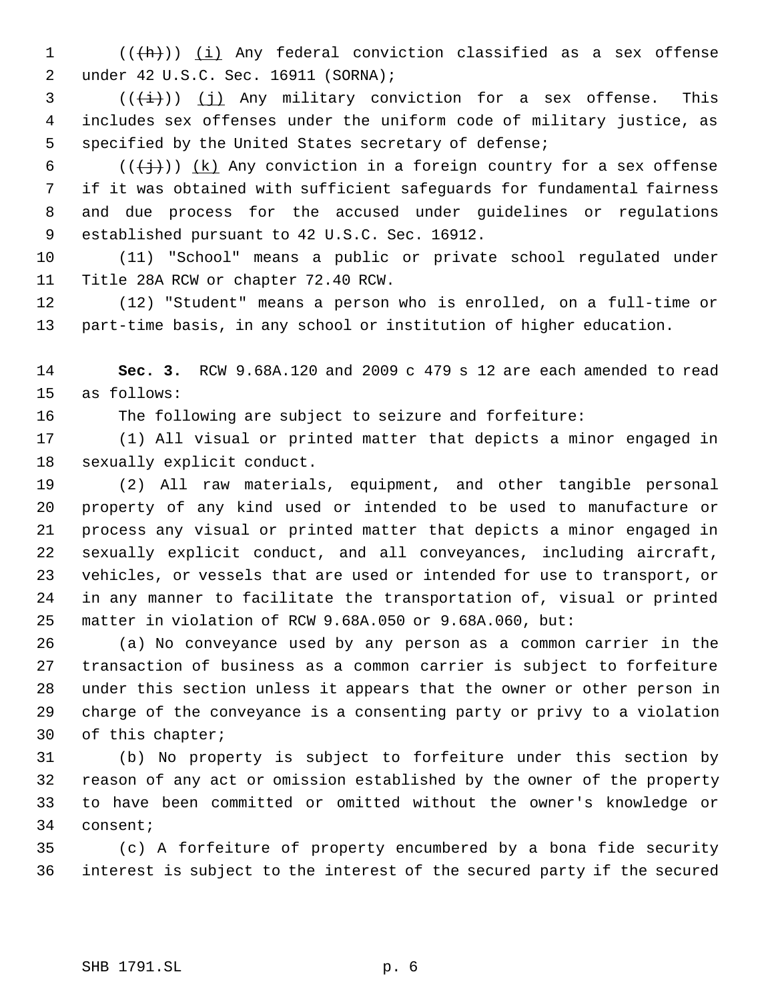1 (((h)) (i) Any federal conviction classified as a sex offense under 42 U.S.C. Sec. 16911 (SORNA);

  $((\overrightarrow{t}))(j)$  Any military conviction for a sex offense. This includes sex offenses under the uniform code of military justice, as specified by the United States secretary of defense;

6 ( $(\frac{1}{2})$ ) (k) Any conviction in a foreign country for a sex offense if it was obtained with sufficient safeguards for fundamental fairness and due process for the accused under guidelines or regulations established pursuant to 42 U.S.C. Sec. 16912.

 (11) "School" means a public or private school regulated under Title 28A RCW or chapter 72.40 RCW.

 (12) "Student" means a person who is enrolled, on a full-time or part-time basis, in any school or institution of higher education.

 **Sec. 3.** RCW 9.68A.120 and 2009 c 479 s 12 are each amended to read as follows:

The following are subject to seizure and forfeiture:

 (1) All visual or printed matter that depicts a minor engaged in sexually explicit conduct.

 (2) All raw materials, equipment, and other tangible personal property of any kind used or intended to be used to manufacture or process any visual or printed matter that depicts a minor engaged in sexually explicit conduct, and all conveyances, including aircraft, vehicles, or vessels that are used or intended for use to transport, or in any manner to facilitate the transportation of, visual or printed matter in violation of RCW 9.68A.050 or 9.68A.060, but:

 (a) No conveyance used by any person as a common carrier in the transaction of business as a common carrier is subject to forfeiture under this section unless it appears that the owner or other person in charge of the conveyance is a consenting party or privy to a violation of this chapter;

 (b) No property is subject to forfeiture under this section by reason of any act or omission established by the owner of the property to have been committed or omitted without the owner's knowledge or consent;

 (c) A forfeiture of property encumbered by a bona fide security interest is subject to the interest of the secured party if the secured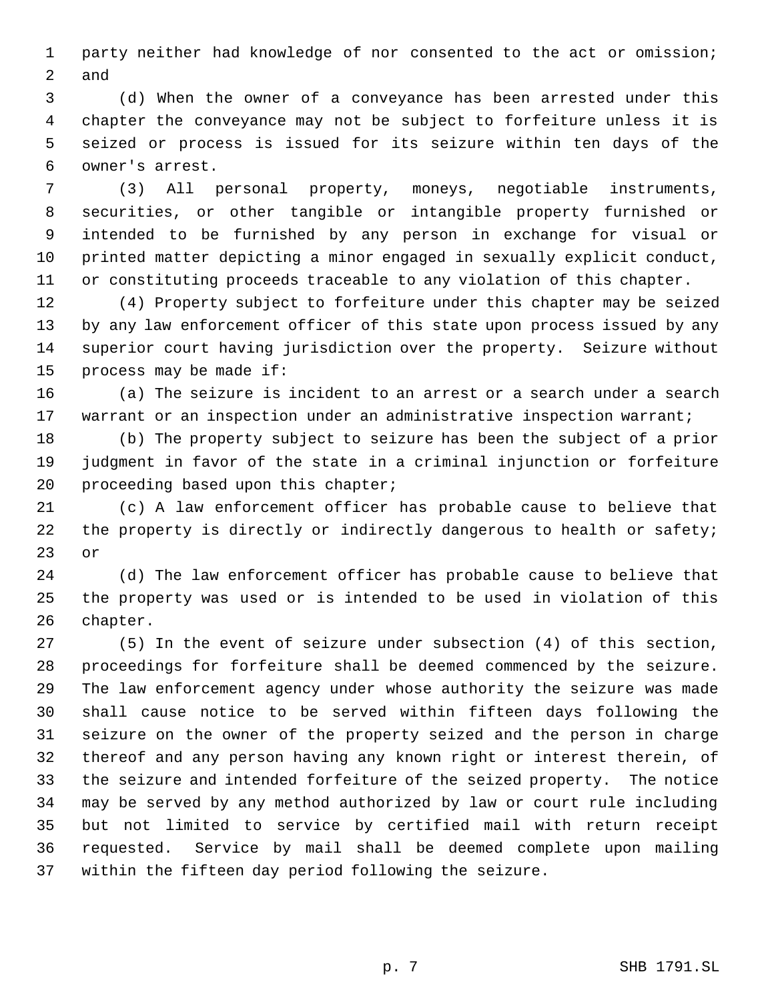party neither had knowledge of nor consented to the act or omission; and

 (d) When the owner of a conveyance has been arrested under this chapter the conveyance may not be subject to forfeiture unless it is seized or process is issued for its seizure within ten days of the owner's arrest.

 (3) All personal property, moneys, negotiable instruments, securities, or other tangible or intangible property furnished or intended to be furnished by any person in exchange for visual or printed matter depicting a minor engaged in sexually explicit conduct, or constituting proceeds traceable to any violation of this chapter.

 (4) Property subject to forfeiture under this chapter may be seized by any law enforcement officer of this state upon process issued by any superior court having jurisdiction over the property. Seizure without process may be made if:

 (a) The seizure is incident to an arrest or a search under a search 17 warrant or an inspection under an administrative inspection warrant;

 (b) The property subject to seizure has been the subject of a prior judgment in favor of the state in a criminal injunction or forfeiture proceeding based upon this chapter;

 (c) A law enforcement officer has probable cause to believe that 22 the property is directly or indirectly dangerous to health or safety; or

 (d) The law enforcement officer has probable cause to believe that the property was used or is intended to be used in violation of this chapter.

 (5) In the event of seizure under subsection (4) of this section, proceedings for forfeiture shall be deemed commenced by the seizure. The law enforcement agency under whose authority the seizure was made shall cause notice to be served within fifteen days following the seizure on the owner of the property seized and the person in charge thereof and any person having any known right or interest therein, of the seizure and intended forfeiture of the seized property. The notice may be served by any method authorized by law or court rule including but not limited to service by certified mail with return receipt requested. Service by mail shall be deemed complete upon mailing within the fifteen day period following the seizure.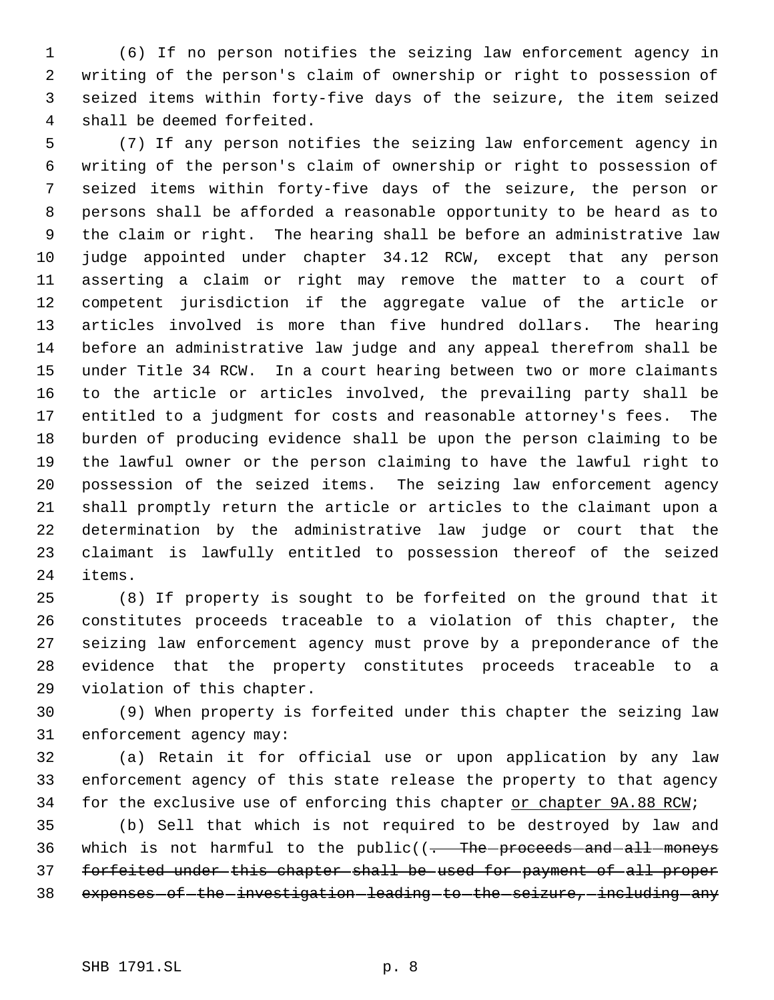(6) If no person notifies the seizing law enforcement agency in writing of the person's claim of ownership or right to possession of seized items within forty-five days of the seizure, the item seized shall be deemed forfeited.

 (7) If any person notifies the seizing law enforcement agency in writing of the person's claim of ownership or right to possession of seized items within forty-five days of the seizure, the person or persons shall be afforded a reasonable opportunity to be heard as to the claim or right. The hearing shall be before an administrative law judge appointed under chapter 34.12 RCW, except that any person asserting a claim or right may remove the matter to a court of competent jurisdiction if the aggregate value of the article or articles involved is more than five hundred dollars. The hearing before an administrative law judge and any appeal therefrom shall be under Title 34 RCW. In a court hearing between two or more claimants to the article or articles involved, the prevailing party shall be entitled to a judgment for costs and reasonable attorney's fees. The burden of producing evidence shall be upon the person claiming to be the lawful owner or the person claiming to have the lawful right to possession of the seized items. The seizing law enforcement agency shall promptly return the article or articles to the claimant upon a determination by the administrative law judge or court that the claimant is lawfully entitled to possession thereof of the seized items.

 (8) If property is sought to be forfeited on the ground that it constitutes proceeds traceable to a violation of this chapter, the seizing law enforcement agency must prove by a preponderance of the evidence that the property constitutes proceeds traceable to a violation of this chapter.

 (9) When property is forfeited under this chapter the seizing law enforcement agency may:

 (a) Retain it for official use or upon application by any law enforcement agency of this state release the property to that agency 34 for the exclusive use of enforcing this chapter or chapter 9A.88 RCW;

 (b) Sell that which is not required to be destroyed by law and 36 which is not harmful to the public( $(-$ The-proceeds-and-all-moneys forfeited under this chapter shall be used for payment of all proper 38 expenses of the investigation leading to the seizure, including any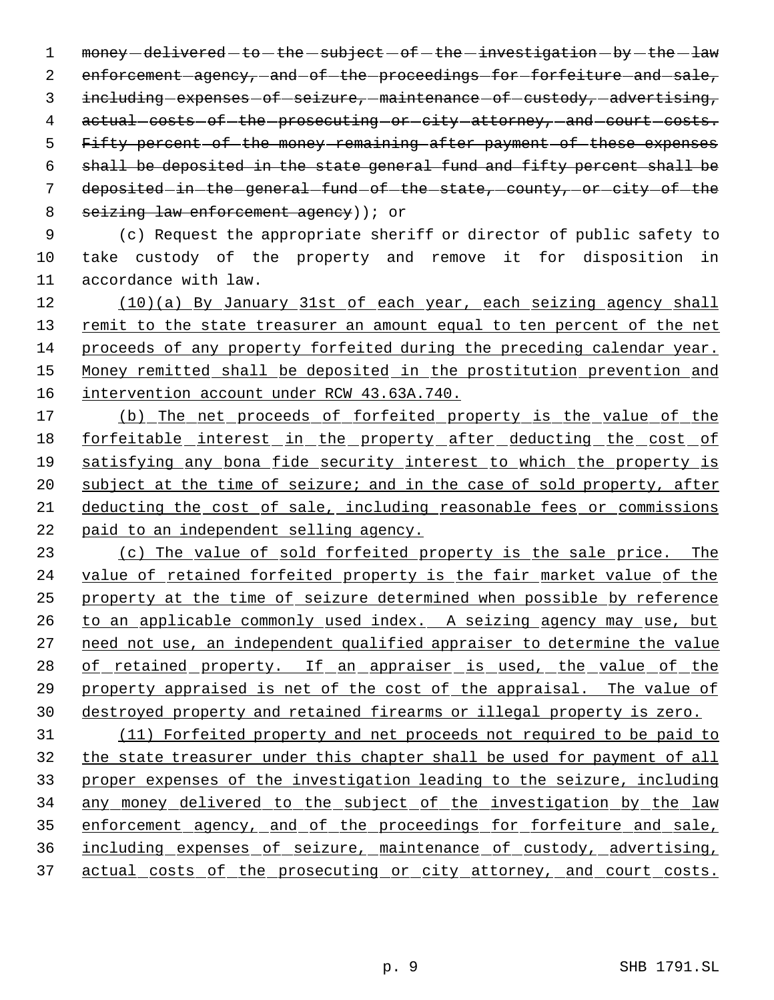1 money -delivered -to -the -subject -of -the -investigation -by -the -law 2 enforcement-agency, and of the proceedings for forfeiture and sale, 3 including expenses of seizure, maintenance of custody, advertising, 4 actual costs of the prosecuting or city attorney, and court costs. 5 Fifty percent of the money remaining after payment of these expenses 6 shall be deposited in the state general fund and fifty percent shall be 7 deposited in the general fund of the state, county, or city of the 8 seizing law enforcement agency) ; or

 9 (c) Request the appropriate sheriff or director of public safety to 10 take custody of the property and remove it for disposition in 11 accordance with law.

12 (10)(a) By January 31st of each year, each seizing agency shall 13 remit to the state treasurer an amount equal to ten percent of the net 14 proceeds of any property forfeited during the preceding calendar year. 15 Money remitted shall be deposited in the prostitution prevention and 16 intervention account under RCW 43.63A.740.

 (b) The net proceeds of forfeited property is the value of the forfeitable interest in the property after deducting the cost of 19 satisfying any bona fide security interest to which the property is 20 subject at the time of seizure; and in the case of sold property, after deducting the cost of sale, including reasonable fees or commissions paid to an independent selling agency.

 (c) The value of sold forfeited property is the sale price. The 24 value of retained forfeited property is the fair market value of the property at the time of seizure determined when possible by reference 26 to an applicable commonly used index. A seizing agency may use, but need not use, an independent qualified appraiser to determine the value 28 of retained property. If an appraiser is used, the value of the property appraised is net of the cost of the appraisal. The value of destroyed property and retained firearms or illegal property is zero.

 (11) Forfeited property and net proceeds not required to be paid to the state treasurer under this chapter shall be used for payment of all proper expenses of the investigation leading to the seizure, including any money delivered to the subject of the investigation by the law enforcement agency, and of the proceedings for forfeiture and sale, including expenses of seizure, maintenance of custody, advertising, 37 actual costs of the prosecuting or city attorney, and court costs.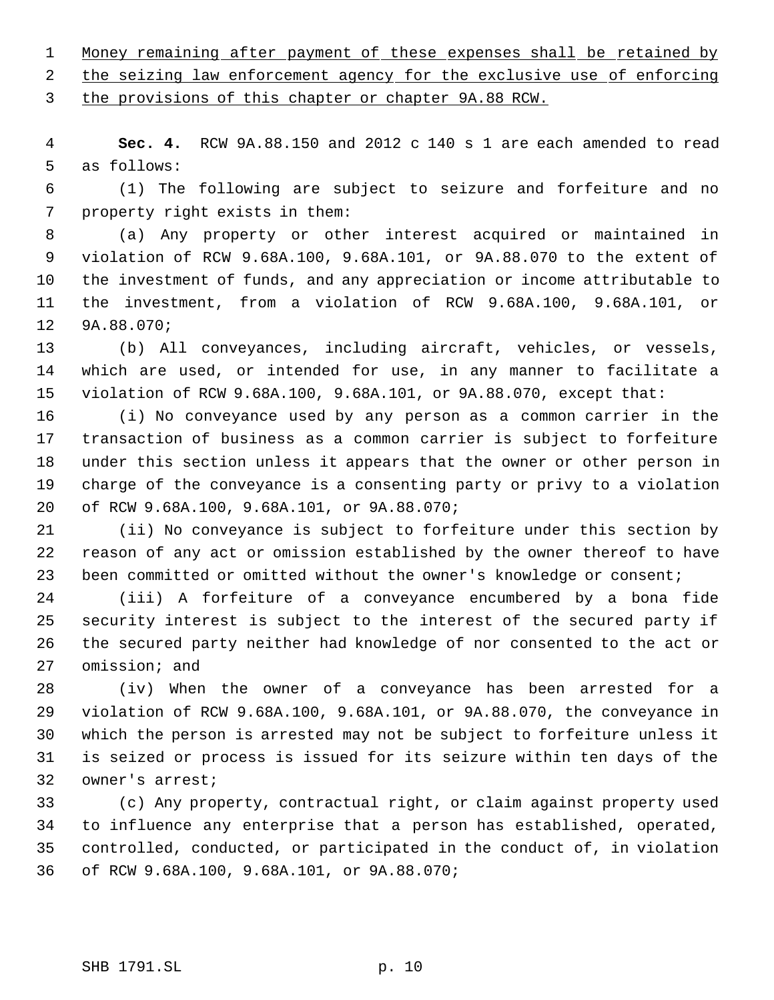Money remaining after payment of these expenses shall be retained by

2 the seizing law enforcement agency for the exclusive use of enforcing

the provisions of this chapter or chapter 9A.88 RCW.

 **Sec. 4.** RCW 9A.88.150 and 2012 c 140 s 1 are each amended to read as follows:

 (1) The following are subject to seizure and forfeiture and no property right exists in them:

 (a) Any property or other interest acquired or maintained in violation of RCW 9.68A.100, 9.68A.101, or 9A.88.070 to the extent of the investment of funds, and any appreciation or income attributable to the investment, from a violation of RCW 9.68A.100, 9.68A.101, or 9A.88.070;

 (b) All conveyances, including aircraft, vehicles, or vessels, which are used, or intended for use, in any manner to facilitate a violation of RCW 9.68A.100, 9.68A.101, or 9A.88.070, except that:

 (i) No conveyance used by any person as a common carrier in the transaction of business as a common carrier is subject to forfeiture under this section unless it appears that the owner or other person in charge of the conveyance is a consenting party or privy to a violation of RCW 9.68A.100, 9.68A.101, or 9A.88.070;

 (ii) No conveyance is subject to forfeiture under this section by reason of any act or omission established by the owner thereof to have been committed or omitted without the owner's knowledge or consent;

 (iii) A forfeiture of a conveyance encumbered by a bona fide security interest is subject to the interest of the secured party if the secured party neither had knowledge of nor consented to the act or omission; and

 (iv) When the owner of a conveyance has been arrested for a violation of RCW 9.68A.100, 9.68A.101, or 9A.88.070, the conveyance in which the person is arrested may not be subject to forfeiture unless it is seized or process is issued for its seizure within ten days of the owner's arrest;

 (c) Any property, contractual right, or claim against property used to influence any enterprise that a person has established, operated, controlled, conducted, or participated in the conduct of, in violation of RCW 9.68A.100, 9.68A.101, or 9A.88.070;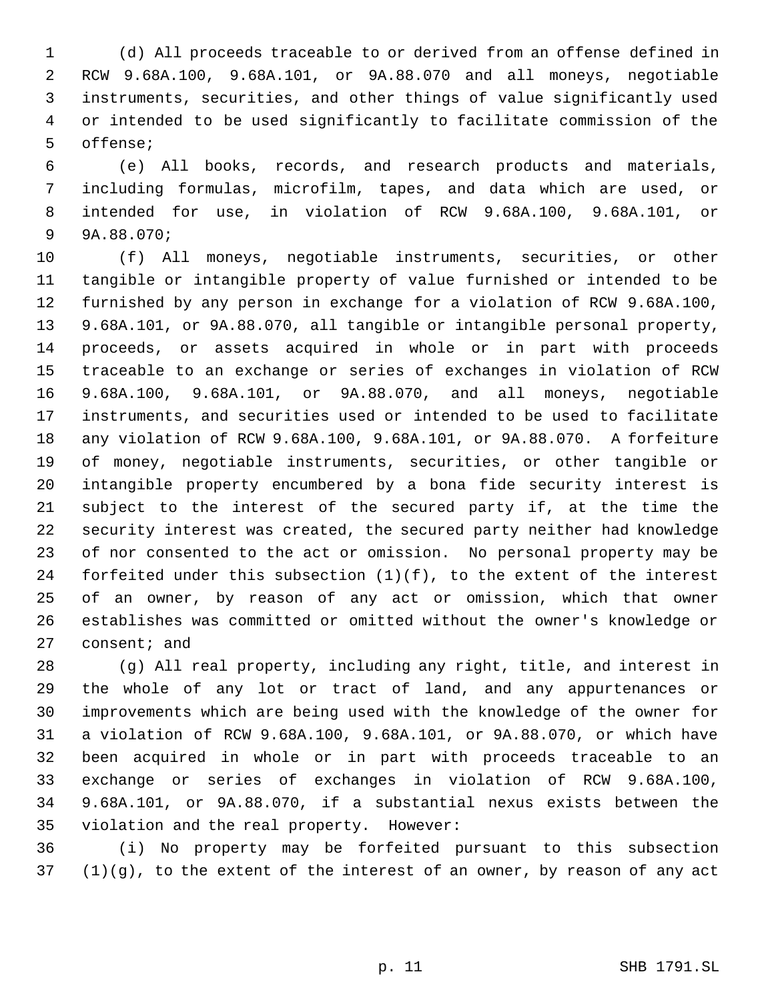(d) All proceeds traceable to or derived from an offense defined in RCW 9.68A.100, 9.68A.101, or 9A.88.070 and all moneys, negotiable instruments, securities, and other things of value significantly used or intended to be used significantly to facilitate commission of the offense;

 (e) All books, records, and research products and materials, including formulas, microfilm, tapes, and data which are used, or intended for use, in violation of RCW 9.68A.100, 9.68A.101, or 9A.88.070;

 (f) All moneys, negotiable instruments, securities, or other tangible or intangible property of value furnished or intended to be furnished by any person in exchange for a violation of RCW 9.68A.100, 9.68A.101, or 9A.88.070, all tangible or intangible personal property, proceeds, or assets acquired in whole or in part with proceeds traceable to an exchange or series of exchanges in violation of RCW 9.68A.100, 9.68A.101, or 9A.88.070, and all moneys, negotiable instruments, and securities used or intended to be used to facilitate any violation of RCW 9.68A.100, 9.68A.101, or 9A.88.070. A forfeiture of money, negotiable instruments, securities, or other tangible or intangible property encumbered by a bona fide security interest is subject to the interest of the secured party if, at the time the security interest was created, the secured party neither had knowledge of nor consented to the act or omission. No personal property may be 24 forfeited under this subsection  $(1)(f)$ , to the extent of the interest of an owner, by reason of any act or omission, which that owner establishes was committed or omitted without the owner's knowledge or 27 consent; and

 (g) All real property, including any right, title, and interest in the whole of any lot or tract of land, and any appurtenances or improvements which are being used with the knowledge of the owner for a violation of RCW 9.68A.100, 9.68A.101, or 9A.88.070, or which have been acquired in whole or in part with proceeds traceable to an exchange or series of exchanges in violation of RCW 9.68A.100, 9.68A.101, or 9A.88.070, if a substantial nexus exists between the violation and the real property. However:

 (i) No property may be forfeited pursuant to this subsection (1)(g), to the extent of the interest of an owner, by reason of any act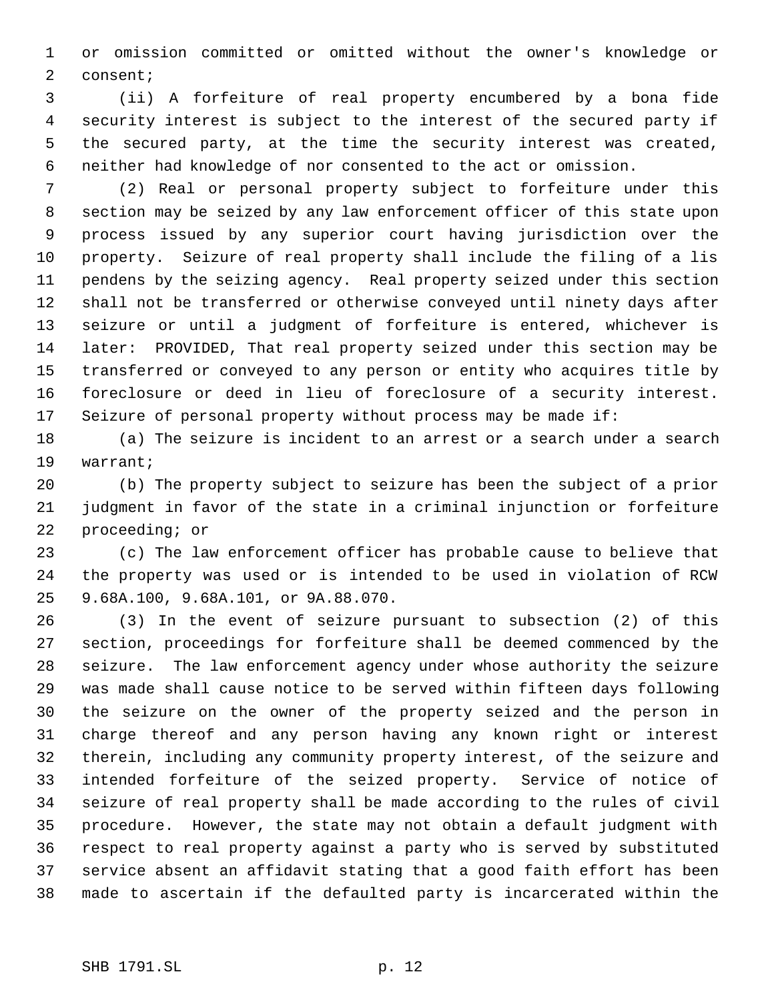or omission committed or omitted without the owner's knowledge or consent;

 (ii) A forfeiture of real property encumbered by a bona fide security interest is subject to the interest of the secured party if the secured party, at the time the security interest was created, neither had knowledge of nor consented to the act or omission.

 (2) Real or personal property subject to forfeiture under this section may be seized by any law enforcement officer of this state upon process issued by any superior court having jurisdiction over the property. Seizure of real property shall include the filing of a lis pendens by the seizing agency. Real property seized under this section shall not be transferred or otherwise conveyed until ninety days after seizure or until a judgment of forfeiture is entered, whichever is later: PROVIDED, That real property seized under this section may be transferred or conveyed to any person or entity who acquires title by foreclosure or deed in lieu of foreclosure of a security interest. Seizure of personal property without process may be made if:

 (a) The seizure is incident to an arrest or a search under a search warrant;

 (b) The property subject to seizure has been the subject of a prior judgment in favor of the state in a criminal injunction or forfeiture proceeding; or

 (c) The law enforcement officer has probable cause to believe that the property was used or is intended to be used in violation of RCW 9.68A.100, 9.68A.101, or 9A.88.070.

 (3) In the event of seizure pursuant to subsection (2) of this section, proceedings for forfeiture shall be deemed commenced by the seizure. The law enforcement agency under whose authority the seizure was made shall cause notice to be served within fifteen days following the seizure on the owner of the property seized and the person in charge thereof and any person having any known right or interest therein, including any community property interest, of the seizure and intended forfeiture of the seized property. Service of notice of seizure of real property shall be made according to the rules of civil procedure. However, the state may not obtain a default judgment with respect to real property against a party who is served by substituted service absent an affidavit stating that a good faith effort has been made to ascertain if the defaulted party is incarcerated within the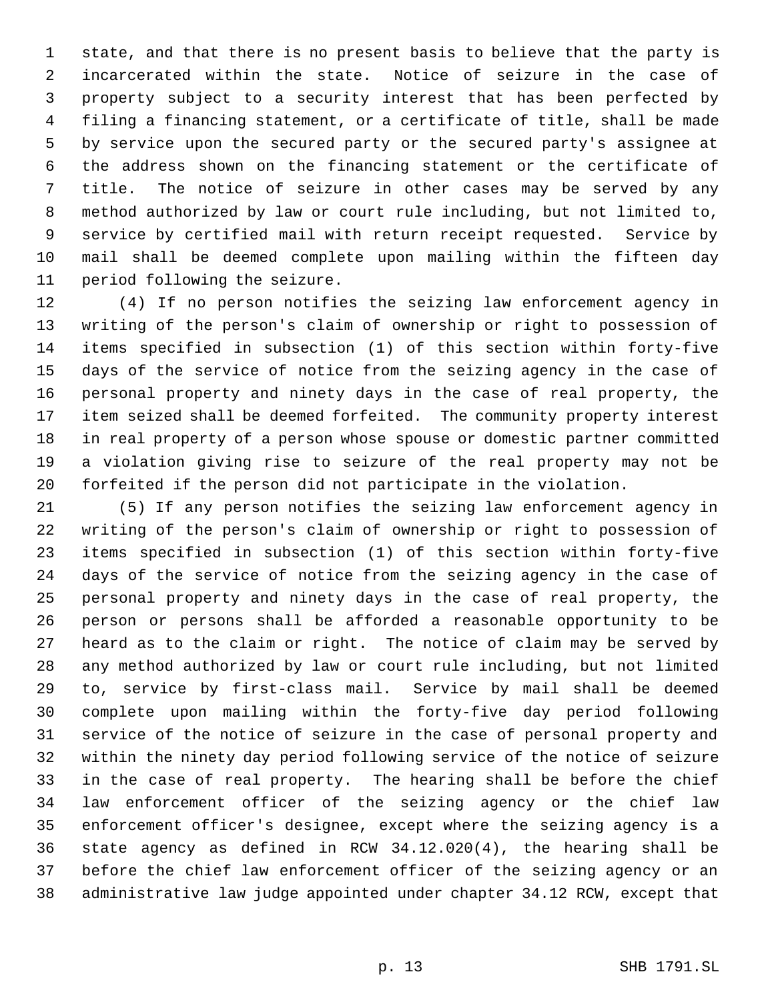state, and that there is no present basis to believe that the party is incarcerated within the state. Notice of seizure in the case of property subject to a security interest that has been perfected by filing a financing statement, or a certificate of title, shall be made by service upon the secured party or the secured party's assignee at the address shown on the financing statement or the certificate of title. The notice of seizure in other cases may be served by any method authorized by law or court rule including, but not limited to, service by certified mail with return receipt requested. Service by mail shall be deemed complete upon mailing within the fifteen day period following the seizure.

 (4) If no person notifies the seizing law enforcement agency in writing of the person's claim of ownership or right to possession of items specified in subsection (1) of this section within forty-five days of the service of notice from the seizing agency in the case of personal property and ninety days in the case of real property, the item seized shall be deemed forfeited. The community property interest in real property of a person whose spouse or domestic partner committed a violation giving rise to seizure of the real property may not be forfeited if the person did not participate in the violation.

 (5) If any person notifies the seizing law enforcement agency in writing of the person's claim of ownership or right to possession of items specified in subsection (1) of this section within forty-five days of the service of notice from the seizing agency in the case of personal property and ninety days in the case of real property, the person or persons shall be afforded a reasonable opportunity to be heard as to the claim or right. The notice of claim may be served by any method authorized by law or court rule including, but not limited to, service by first-class mail. Service by mail shall be deemed complete upon mailing within the forty-five day period following service of the notice of seizure in the case of personal property and within the ninety day period following service of the notice of seizure in the case of real property. The hearing shall be before the chief law enforcement officer of the seizing agency or the chief law enforcement officer's designee, except where the seizing agency is a state agency as defined in RCW 34.12.020(4), the hearing shall be before the chief law enforcement officer of the seizing agency or an administrative law judge appointed under chapter 34.12 RCW, except that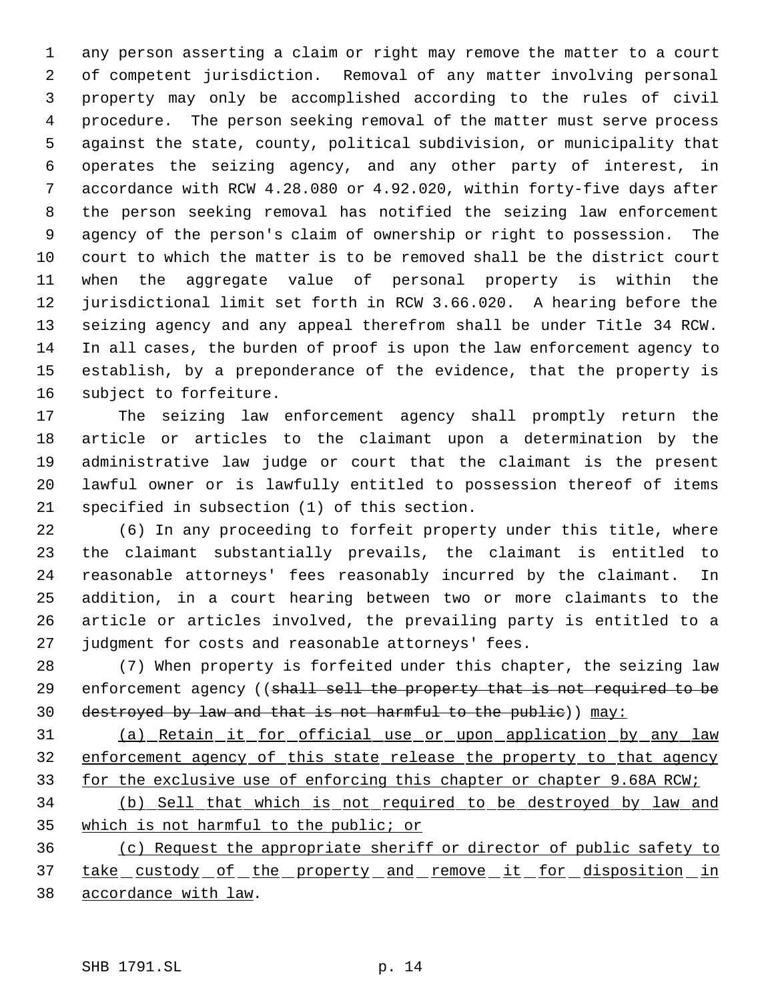any person asserting a claim or right may remove the matter to a court of competent jurisdiction. Removal of any matter involving personal property may only be accomplished according to the rules of civil procedure. The person seeking removal of the matter must serve process against the state, county, political subdivision, or municipality that operates the seizing agency, and any other party of interest, in accordance with RCW 4.28.080 or 4.92.020, within forty-five days after the person seeking removal has notified the seizing law enforcement agency of the person's claim of ownership or right to possession. The court to which the matter is to be removed shall be the district court when the aggregate value of personal property is within the jurisdictional limit set forth in RCW 3.66.020. A hearing before the seizing agency and any appeal therefrom shall be under Title 34 RCW. In all cases, the burden of proof is upon the law enforcement agency to establish, by a preponderance of the evidence, that the property is subject to forfeiture.

 The seizing law enforcement agency shall promptly return the article or articles to the claimant upon a determination by the administrative law judge or court that the claimant is the present lawful owner or is lawfully entitled to possession thereof of items specified in subsection (1) of this section.

 (6) In any proceeding to forfeit property under this title, where the claimant substantially prevails, the claimant is entitled to reasonable attorneys' fees reasonably incurred by the claimant. In addition, in a court hearing between two or more claimants to the article or articles involved, the prevailing party is entitled to a judgment for costs and reasonable attorneys' fees.

 (7) When property is forfeited under this chapter, the seizing law 29 enforcement agency ((shall sell the property that is not required to be destroyed by law and that is not harmful to the public)) may:

 (a) Retain it for official use or upon application by any law 32 enforcement agency of this state release the property to that agency for the exclusive use of enforcing this chapter or chapter 9.68A RCW;

 (b) Sell that which is not required to be destroyed by law and which is not harmful to the public; or

 (c) Request the appropriate sheriff or director of public safety to 37 take custody of the property and remove it for disposition in accordance with law.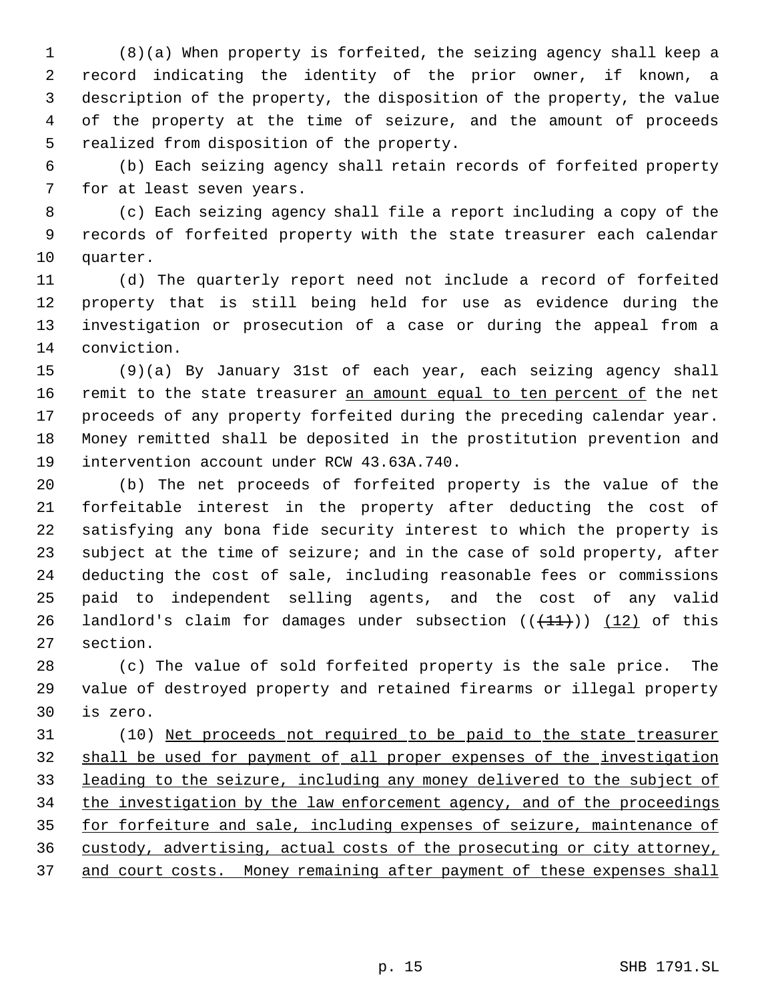(8)(a) When property is forfeited, the seizing agency shall keep a record indicating the identity of the prior owner, if known, a description of the property, the disposition of the property, the value of the property at the time of seizure, and the amount of proceeds realized from disposition of the property.

 (b) Each seizing agency shall retain records of forfeited property for at least seven years.

 (c) Each seizing agency shall file a report including a copy of the records of forfeited property with the state treasurer each calendar quarter.

 (d) The quarterly report need not include a record of forfeited property that is still being held for use as evidence during the investigation or prosecution of a case or during the appeal from a conviction.

 (9)(a) By January 31st of each year, each seizing agency shall 16 remit to the state treasurer an amount equal to ten percent of the net proceeds of any property forfeited during the preceding calendar year. Money remitted shall be deposited in the prostitution prevention and intervention account under RCW 43.63A.740.

 (b) The net proceeds of forfeited property is the value of the forfeitable interest in the property after deducting the cost of satisfying any bona fide security interest to which the property is subject at the time of seizure; and in the case of sold property, after deducting the cost of sale, including reasonable fees or commissions paid to independent selling agents, and the cost of any valid 26 landlord's claim for damages under subsection  $((+11))$   $(12)$  of this section.

 (c) The value of sold forfeited property is the sale price. The value of destroyed property and retained firearms or illegal property is zero.

 (10) Net proceeds not required to be paid to the state treasurer shall be used for payment of all proper expenses of the investigation leading to the seizure, including any money delivered to the subject of 34 the investigation by the law enforcement agency, and of the proceedings 35 for forfeiture and sale, including expenses of seizure, maintenance of custody, advertising, actual costs of the prosecuting or city attorney, 37 and court costs. Money remaining after payment of these expenses shall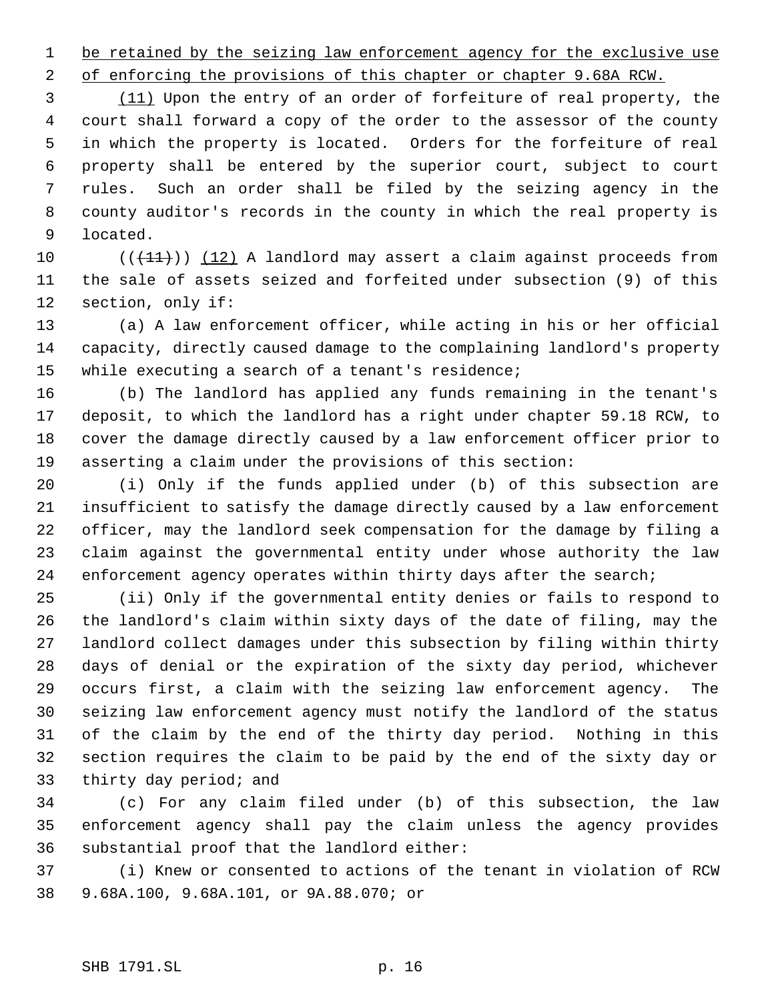1 be retained by the seizing law enforcement agency for the exclusive use

2 of enforcing the provisions of this chapter or chapter 9.68A RCW.

3 (11) Upon the entry of an order of forfeiture of real property, the court shall forward a copy of the order to the assessor of the county in which the property is located. Orders for the forfeiture of real property shall be entered by the superior court, subject to court rules. Such an order shall be filed by the seizing agency in the county auditor's records in the county in which the real property is located.

10  $((+11))$   $(12)$  A landlord may assert a claim against proceeds from the sale of assets seized and forfeited under subsection (9) of this section, only if:

 (a) A law enforcement officer, while acting in his or her official capacity, directly caused damage to the complaining landlord's property while executing a search of a tenant's residence;

 (b) The landlord has applied any funds remaining in the tenant's deposit, to which the landlord has a right under chapter 59.18 RCW, to cover the damage directly caused by a law enforcement officer prior to asserting a claim under the provisions of this section:

 (i) Only if the funds applied under (b) of this subsection are insufficient to satisfy the damage directly caused by a law enforcement officer, may the landlord seek compensation for the damage by filing a claim against the governmental entity under whose authority the law 24 enforcement agency operates within thirty days after the search;

 (ii) Only if the governmental entity denies or fails to respond to the landlord's claim within sixty days of the date of filing, may the landlord collect damages under this subsection by filing within thirty days of denial or the expiration of the sixty day period, whichever occurs first, a claim with the seizing law enforcement agency. The seizing law enforcement agency must notify the landlord of the status of the claim by the end of the thirty day period. Nothing in this section requires the claim to be paid by the end of the sixty day or thirty day period; and

 (c) For any claim filed under (b) of this subsection, the law enforcement agency shall pay the claim unless the agency provides substantial proof that the landlord either:

 (i) Knew or consented to actions of the tenant in violation of RCW 9.68A.100, 9.68A.101, or 9A.88.070; or